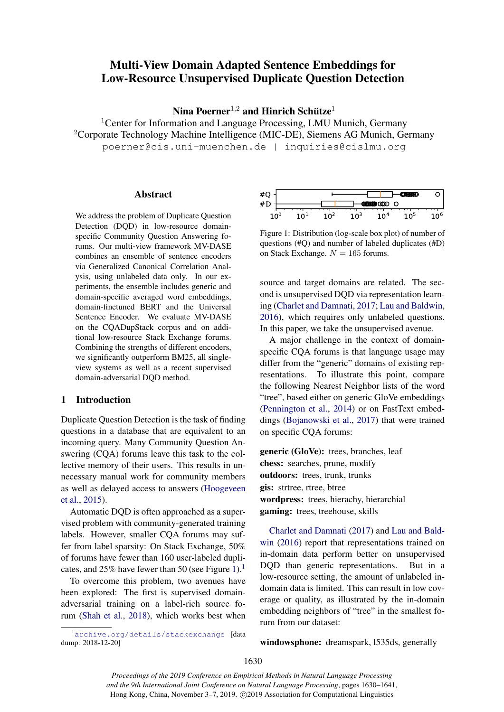# Multi-View Domain Adapted Sentence Embeddings for Low-Resource Unsupervised Duplicate Question Detection

Nina Poerner<sup>1,2</sup> and Hinrich Schütze<sup>1</sup>

<sup>1</sup> Center for Information and Language Processing, LMU Munich, Germany <sup>2</sup>Corporate Technology Machine Intelligence (MIC-DE), Siemens AG Munich, Germany poerner@cis.uni-muenchen.de | inquiries@cislmu.org

#### Abstract

We address the problem of Duplicate Question Detection (DQD) in low-resource domainspecific Community Question Answering forums. Our multi-view framework MV-DASE combines an ensemble of sentence encoders via Generalized Canonical Correlation Analysis, using unlabeled data only. In our experiments, the ensemble includes generic and domain-specific averaged word embeddings, domain-finetuned BERT and the Universal Sentence Encoder. We evaluate MV-DASE on the CQADupStack corpus and on additional low-resource Stack Exchange forums. Combining the strengths of different encoders, we significantly outperform BM25, all singleview systems as well as a recent supervised domain-adversarial DQD method.

## 1 Introduction

Duplicate Question Detection is the task of finding questions in a database that are equivalent to an incoming query. Many Community Question Answering (CQA) forums leave this task to the collective memory of their users. This results in unnecessary manual work for community members as well as delayed access to answers [\(Hoogeveen](#page-10-0) [et al.,](#page-10-0) [2015\)](#page-10-0).

Automatic DQD is often approached as a supervised problem with community-generated training labels. However, smaller CQA forums may suffer from label sparsity: On Stack Exchange, 50% of forums have fewer than 160 user-labeled dupli-cates, and 25% have fewer than 50 (see Figure [1\)](#page-0-0).<sup>[1](#page-0-1)</sup>

To overcome this problem, two avenues have been explored: The first is supervised domainadversarial training on a label-rich source forum [\(Shah et al.,](#page-11-0) [2018\)](#page-11-0), which works best when

<span id="page-0-1"></span><sup>1</sup><archive.org/details/stackexchange> [data dump: 2018-12-20]

<span id="page-0-0"></span>

Figure 1: Distribution (log-scale box plot) of number of questions (#Q) and number of labeled duplicates (#D) on Stack Exchange.  $N = 165$  forums.

source and target domains are related. The second is unsupervised DQD via representation learning [\(Charlet and Damnati,](#page-9-0) [2017;](#page-9-0) [Lau and Baldwin,](#page-10-1) [2016\)](#page-10-1), which requires only unlabeled questions. In this paper, we take the unsupervised avenue.

A major challenge in the context of domainspecific CQA forums is that language usage may differ from the "generic" domains of existing representations. To illustrate this point, compare the following Nearest Neighbor lists of the word "tree", based either on generic GloVe embeddings [\(Pennington et al.,](#page-10-2) [2014\)](#page-10-2) or on FastText embeddings [\(Bojanowski et al.,](#page-9-1) [2017\)](#page-9-1) that were trained on specific CQA forums:

generic (GloVe): trees, branches, leaf chess: searches, prune, modify outdoors: trees, trunk, trunks gis: strtree, rtree, btree wordpress: trees, hierachy, hierarchial gaming: trees, treehouse, skills

[Charlet and Damnati](#page-9-0) [\(2017\)](#page-9-0) and [Lau and Bald](#page-10-1)[win](#page-10-1) [\(2016\)](#page-10-1) report that representations trained on in-domain data perform better on unsupervised DQD than generic representations. But in a low-resource setting, the amount of unlabeled indomain data is limited. This can result in low coverage or quality, as illustrated by the in-domain embedding neighbors of "tree" in the smallest forum from our dataset:

windowsphone: dreamspark, l535ds, generally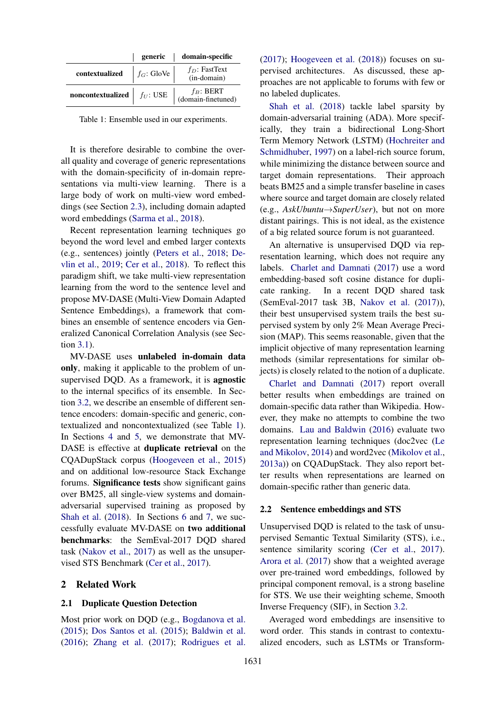<span id="page-1-0"></span>

|                   | generic       | domain-specific                    |
|-------------------|---------------|------------------------------------|
| contextualized    | $f_G$ : GloVe | $f_D$ : FastText<br>$(in-domain)$  |
| noncontextualized | $f_U$ : USE   | $f_B$ : BERT<br>(domain-finetuned) |

Table 1: Ensemble used in our experiments.

It is therefore desirable to combine the overall quality and coverage of generic representations with the domain-specificity of in-domain representations via multi-view learning. There is a large body of work on multi-view word embeddings (see Section [2.3\)](#page-2-0), including domain adapted word embeddings [\(Sarma et al.,](#page-10-3) [2018\)](#page-10-3).

Recent representation learning techniques go beyond the word level and embed larger contexts (e.g., sentences) jointly [\(Peters et al.,](#page-10-4) [2018;](#page-10-4) [De](#page-9-2)[vlin et al.,](#page-9-2) [2019;](#page-9-2) [Cer et al.,](#page-9-3) [2018\)](#page-9-3). To reflect this paradigm shift, we take multi-view representation learning from the word to the sentence level and propose MV-DASE (Multi-View Domain Adapted Sentence Embeddings), a framework that combines an ensemble of sentence encoders via Generalized Canonical Correlation Analysis (see Section [3.1\)](#page-2-1).

MV-DASE uses unlabeled in-domain data only, making it applicable to the problem of unsupervised DQD. As a framework, it is agnostic to the internal specifics of its ensemble. In Section [3.2,](#page-3-0) we describe an ensemble of different sentence encoders: domain-specific and generic, contextualized and noncontextualized (see Table [1\)](#page-1-0). In Sections [4](#page-4-0) and [5,](#page-6-0) we demonstrate that MV-DASE is effective at duplicate retrieval on the CQADupStack corpus [\(Hoogeveen et al.,](#page-10-0) [2015\)](#page-10-0) and on additional low-resource Stack Exchange forums. Significance tests show significant gains over BM25, all single-view systems and domainadversarial supervised training as proposed by [Shah et al.](#page-11-0) [\(2018\)](#page-11-0). In Sections [6](#page-7-0) and [7,](#page-7-1) we successfully evaluate MV-DASE on two additional benchmarks: the SemEval-2017 DQD shared task [\(Nakov et al.,](#page-10-5) [2017\)](#page-10-5) as well as the unsupervised STS Benchmark [\(Cer et al.,](#page-9-4) [2017\)](#page-9-4).

## 2 Related Work

#### 2.1 Duplicate Question Detection

Most prior work on DQD (e.g., [Bogdanova et al.](#page-9-5) [\(2015\)](#page-9-5); [Dos Santos et al.](#page-9-6) [\(2015\)](#page-9-6); [Baldwin et al.](#page-9-7) [\(2016\)](#page-9-7); [Zhang et al.](#page-11-1) [\(2017\)](#page-11-1); [Rodrigues et al.](#page-10-6)

[\(2017\)](#page-10-6); [Hoogeveen et al.](#page-10-7) [\(2018\)](#page-10-7)) focuses on supervised architectures. As discussed, these approaches are not applicable to forums with few or no labeled duplicates.

[Shah et al.](#page-11-0) [\(2018\)](#page-11-0) tackle label sparsity by domain-adversarial training (ADA). More specifically, they train a bidirectional Long-Short Term Memory Network (LSTM) [\(Hochreiter and](#page-10-8) [Schmidhuber,](#page-10-8) [1997\)](#page-10-8) on a label-rich source forum, while minimizing the distance between source and target domain representations. Their approach beats BM25 and a simple transfer baseline in cases where source and target domain are closely related (e.g., *AskUbuntu*→*SuperUser*), but not on more distant pairings. This is not ideal, as the existence of a big related source forum is not guaranteed.

An alternative is unsupervised DQD via representation learning, which does not require any labels. [Charlet and Damnati](#page-9-0) [\(2017\)](#page-9-0) use a word embedding-based soft cosine distance for duplicate ranking. In a recent DQD shared task (SemEval-2017 task 3B, [Nakov et al.](#page-10-5) [\(2017\)](#page-10-5)), their best unsupervised system trails the best supervised system by only 2% Mean Average Precision (MAP). This seems reasonable, given that the implicit objective of many representation learning methods (similar representations for similar objects) is closely related to the notion of a duplicate.

[Charlet and Damnati](#page-9-0) [\(2017\)](#page-9-0) report overall better results when embeddings are trained on domain-specific data rather than Wikipedia. However, they make no attempts to combine the two domains. [Lau and Baldwin](#page-10-1) [\(2016\)](#page-10-1) evaluate two representation learning techniques (doc2vec [\(Le](#page-10-9) [and Mikolov,](#page-10-9) [2014\)](#page-10-9) and word2vec [\(Mikolov et al.,](#page-10-10) [2013a\)](#page-10-10)) on CQADupStack. They also report better results when representations are learned on domain-specific rather than generic data.

#### 2.2 Sentence embeddings and STS

Unsupervised DQD is related to the task of unsupervised Semantic Textual Similarity (STS), i.e., sentence similarity scoring [\(Cer et al.,](#page-9-4) [2017\)](#page-9-4). [Arora et al.](#page-9-8) [\(2017\)](#page-9-8) show that a weighted average over pre-trained word embeddings, followed by principal component removal, is a strong baseline for STS. We use their weighting scheme, Smooth Inverse Frequency (SIF), in Section [3.2.](#page-3-1)

Averaged word embeddings are insensitive to word order. This stands in contrast to contextualized encoders, such as LSTMs or Transform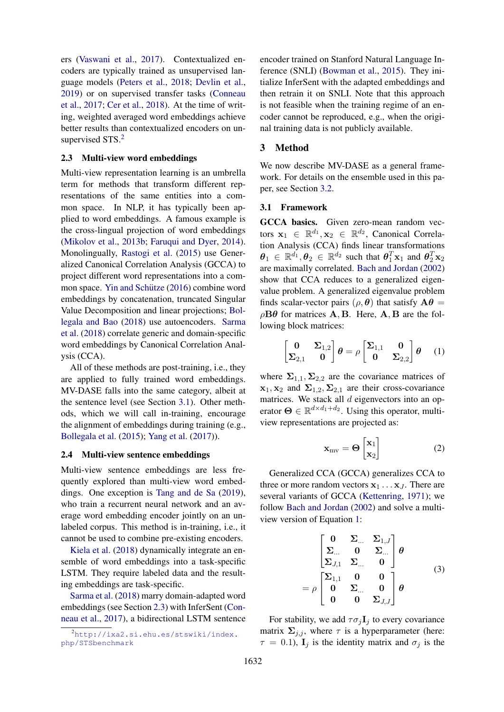ers [\(Vaswani et al.,](#page-11-2) [2017\)](#page-11-2). Contextualized encoders are typically trained as unsupervised language models [\(Peters et al.,](#page-10-4) [2018;](#page-10-4) [Devlin et al.,](#page-9-2) [2019\)](#page-9-2) or on supervised transfer tasks [\(Conneau](#page-9-9) [et al.,](#page-9-9) [2017;](#page-9-9) [Cer et al.,](#page-9-3) [2018\)](#page-9-3). At the time of writing, weighted averaged word embeddings achieve better results than contextualized encoders on un-supervised STS.<sup>[2](#page-2-2)</sup>

#### <span id="page-2-0"></span>2.3 Multi-view word embeddings

Multi-view representation learning is an umbrella term for methods that transform different representations of the same entities into a common space. In NLP, it has typically been applied to word embeddings. A famous example is the cross-lingual projection of word embeddings [\(Mikolov et al.,](#page-10-11) [2013b;](#page-10-11) [Faruqui and Dyer,](#page-9-10) [2014\)](#page-9-10). Monolingually, [Rastogi et al.](#page-10-12) [\(2015\)](#page-10-12) use Generalized Canonical Correlation Analysis (GCCA) to project different word representations into a common space. Yin and Schütze  $(2016)$  combine word embeddings by concatenation, truncated Singular Value Decomposition and linear projections; [Bol](#page-9-11)[legala and Bao](#page-9-11) [\(2018\)](#page-9-11) use autoencoders. [Sarma](#page-10-3) [et al.](#page-10-3) [\(2018\)](#page-10-3) correlate generic and domain-specific word embeddings by Canonical Correlation Analysis (CCA).

All of these methods are post-training, i.e., they are applied to fully trained word embeddings. MV-DASE falls into the same category, albeit at the sentence level (see Section [3.1\)](#page-2-1). Other methods, which we will call in-training, encourage the alignment of embeddings during training (e.g., [Bollegala et al.](#page-9-12) [\(2015\)](#page-9-12); [Yang et al.](#page-11-4) [\(2017\)](#page-11-4)).

#### 2.4 Multi-view sentence embeddings

Multi-view sentence embeddings are less frequently explored than multi-view word embeddings. One exception is [Tang and de Sa](#page-11-5) [\(2019\)](#page-11-5), who train a recurrent neural network and an average word embedding encoder jointly on an unlabeled corpus. This method is in-training, i.e., it cannot be used to combine pre-existing encoders.

[Kiela et al.](#page-10-13) [\(2018\)](#page-10-13) dynamically integrate an ensemble of word embeddings into a task-specific LSTM. They require labeled data and the resulting embeddings are task-specific.

[Sarma et al.](#page-10-3) [\(2018\)](#page-10-3) marry domain-adapted word embeddings (see Section [2.3\)](#page-2-0) with InferSent [\(Con](#page-9-9)[neau et al.,](#page-9-9) [2017\)](#page-9-9), a bidirectional LSTM sentence

encoder trained on Stanford Natural Language Inference (SNLI) [\(Bowman et al.,](#page-9-13) [2015\)](#page-9-13). They initialize InferSent with the adapted embeddings and then retrain it on SNLI. Note that this approach is not feasible when the training regime of an encoder cannot be reproduced, e.g., when the original training data is not publicly available.

## <span id="page-2-4"></span>3 Method

We now describe MV-DASE as a general framework. For details on the ensemble used in this paper, see Section [3.2.](#page-3-0)

## <span id="page-2-1"></span>3.1 Framework

GCCA basics. Given zero-mean random vectors  $\mathbf{x}_1 \in \mathbb{R}^{d_1}, \mathbf{x}_2 \in \mathbb{R}^{d_2}$ , Canonical Correlation Analysis (CCA) finds linear transformations  $\theta_1 \in \mathbb{R}^{d_1}, \theta_2 \in \mathbb{R}^{d_2}$  such that  $\theta_1^T \mathbf{x}_1$  and  $\theta_2^T \mathbf{x}_2$ are maximally correlated. [Bach and Jordan](#page-9-14) [\(2002\)](#page-9-14) show that CCA reduces to a generalized eigenvalue problem. A generalized eigenvalue problem finds scalar-vector pairs ( $\rho$ ,  $\theta$ ) that satisfy  $\mathbf{A}\theta$  =  $\rho B\theta$  for matrices **A**, **B**. Here, **A**, **B** are the following block matrices:

<span id="page-2-3"></span>
$$
\begin{bmatrix} \mathbf{0} & \mathbf{\Sigma}_{1,2} \\ \mathbf{\Sigma}_{2,1} & \mathbf{0} \end{bmatrix} \boldsymbol{\theta} = \rho \begin{bmatrix} \mathbf{\Sigma}_{1,1} & \mathbf{0} \\ \mathbf{0} & \mathbf{\Sigma}_{2,2} \end{bmatrix} \boldsymbol{\theta} \tag{1}
$$

where  $\Sigma_{1,1}, \Sigma_{2,2}$  are the covariance matrices of  $x_1, x_2$  and  $\Sigma_{1,2}, \Sigma_{2,1}$  are their cross-covariance matrices. We stack all  $d$  eigenvectors into an operator  $\Theta \in \mathbb{R}^{d \times d_1 + d_2}$ . Using this operator, multiview representations are projected as:

$$
\mathbf{x}_{\text{mv}} = \mathbf{\Theta} \begin{bmatrix} \mathbf{x}_1 \\ \mathbf{x}_2 \end{bmatrix} \tag{2}
$$

Generalized CCA (GCCA) generalizes CCA to three or more random vectors  $x_1 \ldots x_J$ . There are several variants of GCCA [\(Kettenring,](#page-10-14) [1971\)](#page-10-14); we follow [Bach and Jordan](#page-9-14) [\(2002\)](#page-9-14) and solve a multiview version of Equation [1:](#page-2-3)

$$
\begin{bmatrix}\n\mathbf{0} & \mathbf{\Sigma}_{...} & \mathbf{\Sigma}_{1,J} \\
\mathbf{\Sigma}_{...} & \mathbf{0} & \mathbf{\Sigma}_{...} \\
\mathbf{\Sigma}_{J,1} & \mathbf{\Sigma}_{...} & \mathbf{0}\n\end{bmatrix} \theta
$$
\n
$$
= \rho \begin{bmatrix}\n\mathbf{\Sigma}_{1,1} & \mathbf{0} & \mathbf{0} \\
\mathbf{0} & \mathbf{\Sigma}_{...} & \mathbf{0} \\
\mathbf{0} & \mathbf{0} & \mathbf{\Sigma}_{J,J}\n\end{bmatrix} \theta
$$
\n(3)

For stability, we add  $\tau \sigma_j \mathbf{I}_j$  to every covariance matrix  $\Sigma_{j,j}$ , where  $\tau$  is a hyperparameter (here:  $\tau = 0.1$ ,  $\mathbf{I}_i$  is the identity matrix and  $\sigma_i$  is the

 $\overline{a}$ 

<span id="page-2-2"></span><sup>2</sup>[http://ixa2.si.ehu.es/stswiki/index.](http://ixa2.si.ehu.es/stswiki/index.php/STSbenchmark) [php/STSbenchmark](http://ixa2.si.ehu.es/stswiki/index.php/STSbenchmark)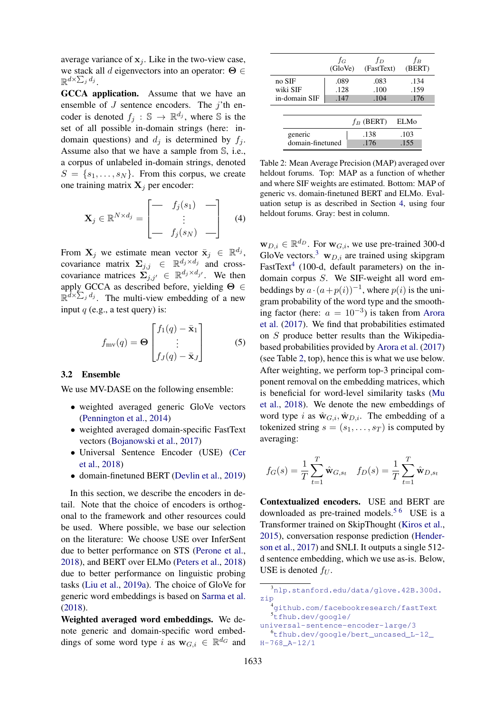average variance of  $x_j$ . Like in the two-view case, we stack all d eigenvectors into an operator:  $\Theta \in$  $\mathbb{R}^{d \times \sum_j d_j}$ .

GCCA application. Assume that we have an ensemble of  $J$  sentence encoders. The  $j'$ th encoder is denoted  $f_j : \mathbb{S} \to \mathbb{R}^{d_j}$ , where  $\mathbb{S}$  is the set of all possible in-domain strings (here: indomain questions) and  $d_j$  is determined by  $f_j$ . Assume also that we have a sample from S, i.e., a corpus of unlabeled in-domain strings, denoted  $S = \{s_1, \ldots, s_N\}$ . From this corpus, we create one training matrix  $X_i$  per encoder:

$$
\mathbf{X}_{j} \in \mathbb{R}^{N \times d_{j}} = \begin{bmatrix} - & f_{j}(s_{1}) & - \\ \vdots & & \\ - & f_{j}(s_{N}) & - \end{bmatrix}
$$
 (4)

From  $X_j$  we estimate mean vector  $\bar{x}_j \in \mathbb{R}^{d_j}$ , covariance matrix  $\Sigma_{j,j} \in \mathbb{R}^{d_j \times d_j}$  and crosscovariance matrices  $\sum_{j,j'} \in \mathbb{R}^{d_j \times d_{j'}}$ . We then apply GCCA as described before, yielding  $\Theta \in$  $\mathbb{R}^{\bar{d}\times\sum_j d_j}$ . The multi-view embedding of a new input  $q$  (e.g., a test query) is:

$$
f_{\text{mv}}(q) = \Theta \begin{bmatrix} f_1(q) - \bar{\mathbf{x}}_1 \\ \vdots \\ f_J(q) - \bar{\mathbf{x}}_J \end{bmatrix}
$$
 (5)

#### <span id="page-3-0"></span>3.2 Ensemble

We use MV-DASE on the following ensemble:

- weighted averaged generic GloVe vectors [\(Pennington et al.,](#page-10-2) [2014\)](#page-10-2)
- weighted averaged domain-specific FastText vectors [\(Bojanowski et al.,](#page-9-1) [2017\)](#page-9-1)
- Universal Sentence Encoder (USE) [\(Cer](#page-9-3) [et al.,](#page-9-3) [2018\)](#page-9-3)
- domain-finetuned BERT [\(Devlin et al.,](#page-9-2) [2019\)](#page-9-2)

In this section, we describe the encoders in detail. Note that the choice of encoders is orthogonal to the framework and other resources could be used. Where possible, we base our selection on the literature: We choose USE over InferSent due to better performance on STS [\(Perone et al.,](#page-10-15) [2018\)](#page-10-15), and BERT over ELMo [\(Peters et al.,](#page-10-4) [2018\)](#page-10-4) due to better performance on linguistic probing tasks [\(Liu et al.,](#page-10-16) [2019a\)](#page-10-16). The choice of GloVe for generic word embeddings is based on [Sarma et al.](#page-10-3) [\(2018\)](#page-10-3).

Weighted averaged word embeddings. We denote generic and domain-specific word embeddings of some word type i as  $w_{G,i} \in \mathbb{R}^{d_G}$  and

<span id="page-3-1"></span>

|                  | fG<br>(GloVe) | fр<br>(FastText) | fв<br>(BERT)     |
|------------------|---------------|------------------|------------------|
| no SIF           | .089          | .083             | .134             |
| wiki SIF         | .128          | .100             | .159             |
| in-domain SIF    | .147          | .104             | .176             |
|                  |               |                  |                  |
|                  |               | $f_B$ (BERT)     | ELM <sub>0</sub> |
| generic          |               | .138             | .103             |
| domain-finetuned |               | .176             | .155             |

Table 2: Mean Average Precision (MAP) averaged over heldout forums. Top: MAP as a function of whether and where SIF weights are estimated. Bottom: MAP of generic vs. domain-finetuned BERT and ELMo. Evaluation setup is as described in Section [4,](#page-4-0) using four heldout forums. Gray: best in column.

 $\mathbf{w}_{D,i} \in \mathbb{R}^{d_D}$ . For  $\mathbf{w}_{G,i}$ , we use pre-trained 300-d GloVe vectors.<sup>[3](#page-3-2)</sup>  $\mathbf{w}_{D,i}$  are trained using skipgram FastText<sup>[4](#page-3-3)</sup> (100-d, default parameters) on the indomain corpus S. We SIF-weight all word embeddings by  $a \cdot (a+p(i))^{-1}$ , where  $p(i)$  is the unigram probability of the word type and the smoothing factor (here:  $a = 10^{-3}$ ) is taken from [Arora](#page-9-8) [et al.](#page-9-8) [\(2017\)](#page-9-8). We find that probabilities estimated on S produce better results than the Wikipediabased probabilities provided by [Arora et al.](#page-9-8) [\(2017\)](#page-9-8) (see Table [2,](#page-3-1) top), hence this is what we use below. After weighting, we perform top-3 principal component removal on the embedding matrices, which is beneficial for word-level similarity tasks [\(Mu](#page-10-17) [et al.,](#page-10-17) [2018\)](#page-10-17). We denote the new embeddings of word type i as  $\hat{w}_{G,i}, \hat{w}_{D,i}$ . The embedding of a tokenized string  $s = (s_1, \ldots, s_T)$  is computed by averaging:

$$
f_G(s) = \frac{1}{T} \sum_{t=1}^T \hat{\mathbf{w}}_{G, s_t} \quad f_D(s) = \frac{1}{T} \sum_{t=1}^T \hat{\mathbf{w}}_{D, s_t}
$$

Contextualized encoders. USE and BERT are downloaded as pre-trained models.<sup>[5](#page-3-4)[6](#page-3-5)</sup> USE is a Transformer trained on SkipThought [\(Kiros et al.,](#page-10-18) [2015\)](#page-10-18), conversation response prediction [\(Hender](#page-10-19)[son et al.,](#page-10-19) [2017\)](#page-10-19) and SNLI. It outputs a single 512 d sentence embedding, which we use as-is. Below, USE is denoted  $f_U$ .

<span id="page-3-2"></span> $3$ nlp.stanford.edu/data/qlove.42B.300d. [zip](nlp.stanford.edu/data/glove.42B.300d.zip)

<span id="page-3-4"></span><span id="page-3-3"></span><sup>4</sup><github.com/facebookresearch/fastText> <sup>5</sup>[tfhub.dev/google/](tfhub.dev/google/universal-sentence-encoder-large/3)

<span id="page-3-5"></span>[universal-sentence-encoder-large/3](tfhub.dev/google/universal-sentence-encoder-large/3) <sup>6</sup>[tfhub.dev/google/bert\\_uncased\\_L-12\\_](tfhub.dev/google/bert_uncased_L-12_H-768_A-12/1) [H-768\\_A-12/1](tfhub.dev/google/bert_uncased_L-12_H-768_A-12/1)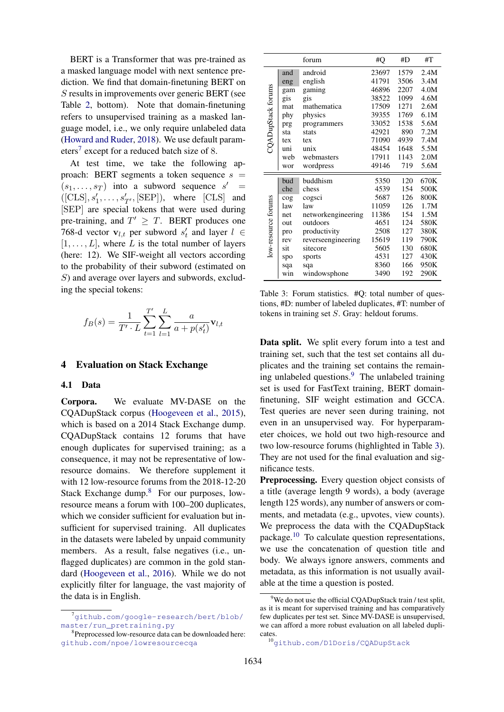BERT is a Transformer that was pre-trained as a masked language model with next sentence prediction. We find that domain-finetuning BERT on S results in improvements over generic BERT (see Table [2,](#page-3-1) bottom). Note that domain-finetuning refers to unsupervised training as a masked language model, i.e., we only require unlabeled data [\(Howard and Ruder,](#page-10-20) [2018\)](#page-10-20). We use default param-eters<sup>[7](#page-4-1)</sup> except for a reduced batch size of 8.

At test time, we take the following approach: BERT segments a token sequence  $s =$  $(s_1, \ldots, s_T)$  into a subword sequence  $s' =$  $([CLS], s'_1, \ldots, s'_{T'} , [SEP]),$  where  $[CLS]$  and [SEP] are special tokens that were used during pre-training, and  $T' \geq T$ . BERT produces one 768-d vector  $\mathbf{v}_{l,t}$  per subword  $s'_t$  and layer  $l \in$  $[1, \ldots, L]$ , where L is the total number of layers (here: 12). We SIF-weight all vectors according to the probability of their subword (estimated on S) and average over layers and subwords, excluding the special tokens:

$$
f_B(s) = \frac{1}{T' \cdot L} \sum_{t=1}^{T'} \sum_{l=1}^{L} \frac{a}{a + p(s'_t)} \mathbf{v}_{l,t}
$$

## <span id="page-4-0"></span>4 Evaluation on Stack Exchange

## 4.1 Data

Corpora. We evaluate MV-DASE on the CQADupStack corpus [\(Hoogeveen et al.,](#page-10-0) [2015\)](#page-10-0), which is based on a 2014 Stack Exchange dump. CQADupStack contains 12 forums that have enough duplicates for supervised training; as a consequence, it may not be representative of lowresource domains. We therefore supplement it with 12 low-resource forums from the 2018-12-20 Stack Exchange dump.<sup>[8](#page-4-2)</sup> For our purposes, lowresource means a forum with 100–200 duplicates, which we consider sufficient for evaluation but insufficient for supervised training. All duplicates in the datasets were labeled by unpaid community members. As a result, false negatives (i.e., unflagged duplicates) are common in the gold standard [\(Hoogeveen et al.,](#page-10-21) [2016\)](#page-10-21). While we do not explicitly filter for language, the vast majority of the data is in English.

<span id="page-4-4"></span>

|                     |        | forum              | #Q    | #D   | #T   |
|---------------------|--------|--------------------|-------|------|------|
|                     | and    | android            | 23697 | 1579 | 2.4M |
|                     | eng    | english            | 41791 | 3506 | 3.4M |
|                     | gam    | gaming             | 46896 | 2207 | 4.0M |
|                     | gis    | gis                | 38522 | 1099 | 4.6M |
|                     | mat    | mathematica        | 17509 | 1271 | 2.6M |
|                     | phy    | physics            | 39355 | 1769 | 6.1M |
| CQADupStack forums  | prg    | programmers        | 33052 | 1538 | 5.6M |
|                     | sta    | stats              | 42921 | 890  | 7.2M |
|                     | tex    | tex                | 71090 | 4939 | 7.4M |
|                     | uni    | unix               | 48454 | 1648 | 5.5M |
|                     | web    | webmasters         | 17911 | 1143 | 2.0M |
|                     | wor    | wordpress          | 49146 | 719  | 5.6M |
|                     | bud    | buddhism           | 5350  | 120  | 670K |
|                     | che    | chess              | 4539  | 154  | 500K |
|                     | $\cos$ | cogsci             | 5687  | 126  | 800K |
|                     | law    | law                | 11059 | 126  | 1.7M |
|                     | net    | networkengineering | 11386 | 154  | 1.5M |
|                     | out    | outdoors           | 4651  | 124  | 580K |
| low-resource forums | pro    | productivity       | 2508  | 127  | 380K |
|                     | rev    | reverseengineering | 15619 | 119  | 790K |
|                     | sit    | sitecore           | 5605  | 130  | 680K |
|                     | spo    | sports             | 4531  | 127  | 430K |
|                     | sqa    | sqa                | 8360  | 166  | 950K |
|                     | win    | windowsphone       | 3490  | 192  | 290K |

Table 3: Forum statistics. #Q: total number of questions, #D: number of labeled duplicates, #T: number of tokens in training set S. Gray: heldout forums.

Data split. We split every forum into a test and training set, such that the test set contains all duplicates and the training set contains the remaining unlabeled questions. $9$  The unlabeled training set is used for FastText training, BERT domainfinetuning, SIF weight estimation and GCCA. Test queries are never seen during training, not even in an unsupervised way. For hyperparameter choices, we hold out two high-resource and two low-resource forums (highlighted in Table [3\)](#page-4-4). They are not used for the final evaluation and significance tests.

Preprocessing. Every question object consists of a title (average length 9 words), a body (average length 125 words), any number of answers or comments, and metadata (e.g., upvotes, view counts). We preprocess the data with the CQADupStack package.<sup>[10](#page-4-5)</sup> To calculate question representations, we use the concatenation of question title and body. We always ignore answers, comments and metadata, as this information is not usually available at the time a question is posted.

<span id="page-4-1"></span><sup>7</sup>[github.com/google-research/bert/blob/](github.com/google-research/bert/blob/master/run_pretraining.py) [master/run\\_pretraining.py](github.com/google-research/bert/blob/master/run_pretraining.py)

<span id="page-4-2"></span><sup>&</sup>lt;sup>8</sup>Preprocessed low-resource data can be downloaded here: <github.com/npoe/lowresourcecqa>

<span id="page-4-3"></span><sup>&</sup>lt;sup>9</sup>We do not use the official CQADupStack train / test split, as it is meant for supervised training and has comparatively few duplicates per test set. Since MV-DASE is unsupervised, we can afford a more robust evaluation on all labeled duplicates.

<span id="page-4-5"></span><sup>10</sup><github.com/D1Doris/CQADupStack>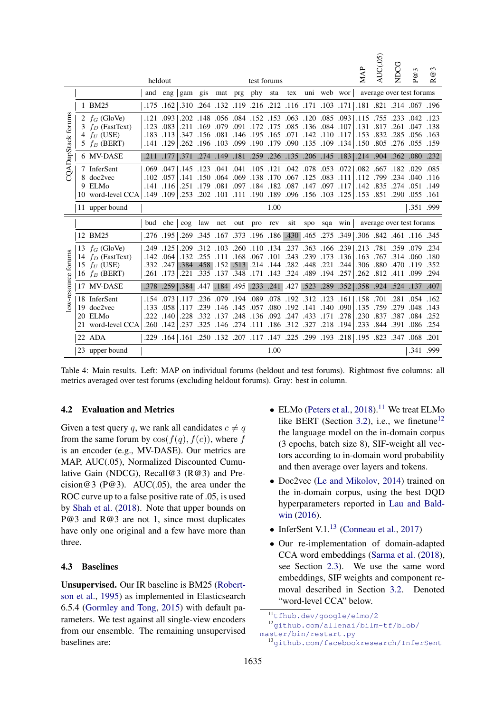<span id="page-5-3"></span>

|                     |                |                                                                                                                                                       | heldout      |                                                                                                    |                             |                 |  | test forums                                                                                                        |     |                 |      | MAP                                                                  | AUC(. | NDCG                  | 3<br>$^{\circledR}$                                                                                                                                                               | $\sim$<br>$^{\circledR}$<br>≃ |
|---------------------|----------------|-------------------------------------------------------------------------------------------------------------------------------------------------------|--------------|----------------------------------------------------------------------------------------------------|-----------------------------|-----------------|--|--------------------------------------------------------------------------------------------------------------------|-----|-----------------|------|----------------------------------------------------------------------|-------|-----------------------|-----------------------------------------------------------------------------------------------------------------------------------------------------------------------------------|-------------------------------|
|                     |                |                                                                                                                                                       | and          |                                                                                                    | eng gam gis mat prg phy sta |                 |  |                                                                                                                    |     | tex uni web wor |      |                                                                      |       |                       | average over test forums                                                                                                                                                          |                               |
|                     |                | 1 BM25                                                                                                                                                |              |                                                                                                    |                             |                 |  |                                                                                                                    |     |                 |      |                                                                      |       |                       | 196. 707. 168. 171. 181. 1711. 103. 171. 103. 171. 103. 129. 129. 149. 162. 164. 175. 162.                                                                                        |                               |
| CQADupStack forums  | 2<br>3<br>5    | $f_G$ (GloVe)<br>$f_D$ (FastText)<br>$f_U$ (USE)<br>$f_B$ (BERT)                                                                                      | .121<br>.123 | .093<br>.083<br>.117, 110, 142, 171, 165, 165, 195, 184, 181, 156, 157, 183, 183,<br>$.141$ $.129$ |                             |                 |  | .202. 855. 020. 63. 656. 152. 152. 153. 063. 120. 085. 202.<br>.107. 084. 086. 136. 175. 172. 172. 085. 151. 112.  |     |                 |      |                                                                      |       | $.115$ .755 .233 .042 | .138. 047. 261. 138. 131.<br>.153 .832 .285 .056 .163<br>.159 .159 .276 .055 .159 .151 .151 .109 .135 .109 .134 .150 .093 .150 .161 .162 .262                                     | .123                          |
|                     |                | 6 MV-DASE                                                                                                                                             |              |                                                                                                    |                             |                 |  |                                                                                                                    |     |                 |      |                                                                      |       |                       | 232. 300. 362. 904. 1214. 183. 145. 166. 156. 126. 135. 181. 149. 274. 771. 211. 211.                                                                                             |                               |
|                     |                | 7 InferSent<br>8 doc2vec<br>9 ELMo<br>161. 055. 290. 291. 153. 153. 154. 103. 164. 096. 111. 190. 111. 101. 202. 203. 109. 1149. 109 169. 169. 169. 1 | .102         | 720, 053, 078, 042, 042, 121, 105, 041, 041, 043, 049, 069,<br>.057<br>.141.116                    |                             |                 |  | .125. 067. 170. 170. 169. 064. 160. 141.<br>.117, 097, 147, 087, 182, 184, 197, 097, 181, 251, 251,                |     | .083            | .111 |                                                                      |       |                       | .082 .667 .182 .029 .085<br>.112, .234, .040, .116<br>.149. 051. 274. 835. 142.                                                                                                   |                               |
|                     |                | 11 upper bound                                                                                                                                        |              |                                                                                                    |                             |                 |  | 1.00                                                                                                               |     |                 |      |                                                                      |       |                       |                                                                                                                                                                                   | .351 .999                     |
|                     |                |                                                                                                                                                       | bud          | che                                                                                                | $\cos$                      | law net out pro |  | rev                                                                                                                | sit | spo sqa win     |      |                                                                      |       |                       | average over test forums                                                                                                                                                          |                               |
|                     |                | 12 BM25                                                                                                                                               |              |                                                                                                    |                             |                 |  |                                                                                                                    |     |                 |      |                                                                      |       |                       | 345. 116. 461. 461. 342. 306. [349] 306. 375. 346. 186. 196. 373. 178. 345. 345. 276. 276. 276.                                                                                   |                               |
| low-resource forums | 13<br>14<br>15 | $f_G$ (GloVe)<br>$f_D$ (FastText)<br>$f_U$ (USE)<br>16 $f_B$ (BERT)                                                                                   | .249<br>.142 | .064<br>.332.247<br>  257. 194. 489. 324. 143. 171. 348. 177. 348. 251. 261. 261.                  |                             |                 |  | .136. 173. 239. 239. 101. 168. 167. 168. 173. 255. 173.<br>.244. 221. 448. 282. 144. 282. 214. 513. 513. 458. 384. |     |                 |      |                                                                      |       |                       | 234. 789. 789. 781. 781. 239. 766. 767. 766. 737. 110. 741. 760. 760. 761. 789. 795. 751.<br>.163, .767, .314, .060, .180<br>.306 .880 .470 .119 .352<br>.262 .812 .411 .099 .294 |                               |
|                     |                | 17 MV-DASE                                                                                                                                            |              |                                                                                                    |                             |                 |  |                                                                                                                    |     |                 |      |                                                                      |       |                       | 407. 137. 124. 134. 139. 1358. 1359. 1289. 1297. 1293. 137. 1389. 1394. 1394. 1394. 1393. 137.                                                                                    |                               |
|                     |                | 18 InferSent<br>19 doc2vec<br>20 ELMo<br>21 word-level CCA                                                                                            | .133         | $.154$ $.073$ $.117$<br>.058<br>.222 .140<br>$.260$ $.142$                                         | .117                        |                 |  | .239, 040, 141, 192, 080, 057, 080, 239, 041, 239<br>.278. 171. 433. 437. 092. 092. 136. 248. 137. 332. 228.       |     |                 |      | .701. 158. 161. 153. 152. 192. 192. 078. 199. 194. 709. 236.<br>.135 |       | .281                  | .054.162<br>.759. 048. 279. 759.<br>.230 .837 .387 .084 .252<br>.254. 086. 991. 344. 233. إ941. 128. 237. 312. 327. 114. 124. 146. 325. 327.                                      |                               |
|                     |                | 22 ADA<br>23 upper bound                                                                                                                              |              |                                                                                                    |                             |                 |  | 1.00                                                                                                               |     |                 |      |                                                                      |       |                       | 201. 068. 347. 323. 195. 198. 193. 193. 299. 225. 147. 177. 207. 132. 164. 164. 229. 164.                                                                                         | .341 .999                     |

Table 4: Main results. Left: MAP on individual forums (heldout and test forums). Rightmost five columns: all metrics averaged over test forums (excluding heldout forums). Gray: best in column.

## 4.2 Evaluation and Metrics

Given a test query q, we rank all candidates  $c \neq q$ from the same forum by  $cos(f(q), f(c))$ , where f is an encoder (e.g., MV-DASE). Our metrics are MAP, AUC(.05), Normalized Discounted Cumulative Gain (NDCG), Recall@3 (R@3) and Precision@3 (P@3). AUC(.05), the area under the ROC curve up to a false positive rate of .05, is used by [Shah et al.](#page-11-0) [\(2018\)](#page-11-0). Note that upper bounds on P@3 and R@3 are not 1, since most duplicates have only one original and a few have more than three.

## 4.3 Baselines

Unsupervised. Our IR baseline is BM25 [\(Robert](#page-10-22)[son et al.,](#page-10-22) [1995\)](#page-10-22) as implemented in Elasticsearch 6.5.4 [\(Gormley and Tong,](#page-9-15) [2015\)](#page-9-15) with default parameters. We test against all single-view encoders from our ensemble. The remaining unsupervised baselines are:

• ELMo [\(Peters et al.,](#page-10-4) [2018\)](#page-10-4).<sup>[11](#page-5-0)</sup> We treat ELMo like BERT (Section [3.2\)](#page-3-1), i.e., we finetune<sup>[12](#page-5-1)</sup> the language model on the in-domain corpus (3 epochs, batch size 8), SIF-weight all vectors according to in-domain word probability and then average over layers and tokens.

 $\overline{5}$ 

- Doc2vec [\(Le and Mikolov,](#page-10-9) [2014\)](#page-10-9) trained on the in-domain corpus, using the best DQD hyperparameters reported in [Lau and Bald](#page-10-1)[win](#page-10-1) [\(2016\)](#page-10-1).
- InferSent V.1. $^{13}$  $^{13}$  $^{13}$  [\(Conneau et al.,](#page-9-9) [2017\)](#page-9-9)
- Our re-implementation of domain-adapted CCA word embeddings [\(Sarma et al.](#page-10-3) [\(2018\)](#page-10-3), see Section [2.3\)](#page-2-0). We use the same word embeddings, SIF weights and component removal described in Section [3.2.](#page-3-1) Denoted "word-level CCA" below.

<span id="page-5-1"></span><span id="page-5-0"></span><sup>11</sup><tfhub.dev/google/elmo/2>

<sup>12</sup>[github.com/allenai/bilm-tf/blob/](github.com/allenai/bilm-tf/blob/master/bin/restart.py)

[master/bin/restart.py](github.com/allenai/bilm-tf/blob/master/bin/restart.py)

<span id="page-5-2"></span><sup>13</sup><github.com/facebookresearch/InferSent>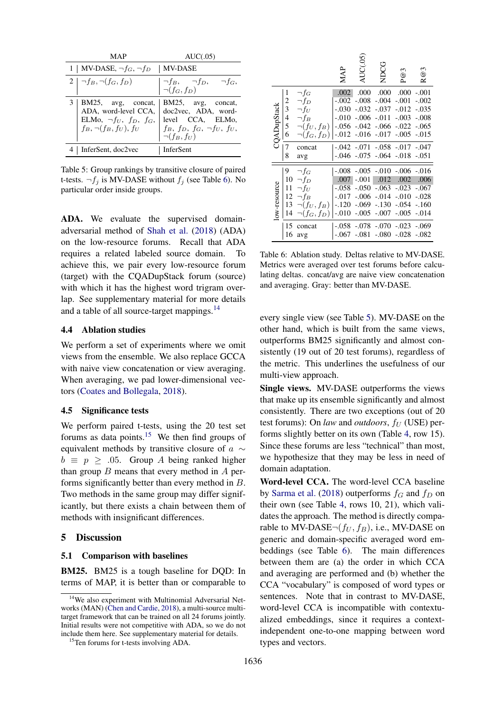<span id="page-6-4"></span>

| MAP                                                                                                            | AUC(.05)                                                                                                             |
|----------------------------------------------------------------------------------------------------------------|----------------------------------------------------------------------------------------------------------------------|
| MV-DASE, $\neg f_G, \neg f_D$                                                                                  | MV-DASE                                                                                                              |
| $2   \neg f_B, \neg (f_G, f_D)$                                                                                | $\begin{array}{ll} \neg f_B, \quad \neg f_D, \quad \neg f_G, \\ \neg (f_G, f_D) \end{array}$                         |
| BM25, avg, concat,<br>ADA, word-level CCA,<br>ELMo, $\neg f_U$ , $f_D$ , $f_G$ ,<br>$f_B, \neg(f_B, f_U), f_U$ | BM25, avg, concat,<br>doc2vec, ADA, word-<br>level CCA, ELMo,<br>$f_B, f_D, f_G, \neg f_U, f_U,$<br>$\neg(f_B, f_U)$ |
| InferSent, doc2vec                                                                                             | <b>InferSent</b>                                                                                                     |

Table 5: Group rankings by transitive closure of paired t-tests.  $\neg f_i$  is MV-DASE without  $f_i$  (see Table [6\)](#page-6-1). No particular order inside groups.

ADA. We evaluate the supervised domainadversarial method of [Shah et al.](#page-11-0) [\(2018\)](#page-11-0) (ADA) on the low-resource forums. Recall that ADA requires a related labeled source domain. To achieve this, we pair every low-resource forum (target) with the CQADupStack forum (source) with which it has the highest word trigram overlap. See supplementary material for more details and a table of all source-target mappings.  $^{14}$  $^{14}$  $^{14}$ 

## 4.4 Ablation studies

We perform a set of experiments where we omit views from the ensemble. We also replace GCCA with naive view concatenation or view averaging. When averaging, we pad lower-dimensional vectors [\(Coates and Bollegala,](#page-9-16) [2018\)](#page-9-16).

## 4.5 Significance tests

We perform paired t-tests, using the 20 test set forums as data points.[15](#page-6-3) We then find groups of equivalent methods by transitive closure of a ∼  $b \equiv p > .05$ . Group A being ranked higher than group  $B$  means that every method in  $A$  performs significantly better than every method in B. Two methods in the same group may differ significantly, but there exists a chain between them of methods with insignificant differences.

#### <span id="page-6-0"></span>5 Discussion

#### 5.1 Comparison with baselines

BM25. BM25 is a tough baseline for DQD: In terms of MAP, it is better than or comparable to

<span id="page-6-1"></span>

|              |                                                                        |                                                                                                                                       | MAP                           | AUC(.05)                                      | NDCG                                                                               | P@3                                                                             | R@3                                      |
|--------------|------------------------------------------------------------------------|---------------------------------------------------------------------------------------------------------------------------------------|-------------------------------|-----------------------------------------------|------------------------------------------------------------------------------------|---------------------------------------------------------------------------------|------------------------------------------|
| CQADupStack  | 1<br>$\overline{\mathbf{c}}$<br>$\overline{\mathbf{3}}$<br>4<br>5<br>6 | $\neg f_G$<br>$\neg f_D$<br>$\neg f_U$<br>$\neg f_B$<br>$\neg(f_U, f_B) \mid -.056$ -.042<br>$\neg(f_G, f_D) \mid -0.012$ -.016 -.017 | $-.002$<br>$-.030$<br>$-.010$ | $-.008$<br>$-.032$<br>$-.006$                 | $.002$ $.000$ $.000$ $.000$ $.001$<br>$-.004$<br>$-.037$<br>$-.011$<br>$-.066$     | $-.001$<br>$-.012$<br>$-.003$<br>$-.022$<br>$-.005-.015$                        | $-.002$<br>$-.035$<br>$-.008$<br>$-.065$ |
|              | 7<br>8                                                                 | concat<br>avg                                                                                                                         |                               |                                               | $-.042$ $-.071$ $-.058$ $-.017$ $-.047$<br>$-.046$ $-.075$ $-.064$ $-.018$ $-.051$ |                                                                                 |                                          |
| low-resource | 9<br>10<br>11<br>12<br>13<br>14                                        | $\neg f_G$<br>$\neg f_D$<br>$\neg$ fu<br>$\neg f_B$<br>$\neg(f_U, f_B) \mid -.120$ -.069<br>$\neg(f_G, f_D) \,  -.010$                | $-.008$<br>.007<br>$-.058$    | $-.001$<br>$-.050$<br>$-.017-.006$<br>$-.005$ | $-.005$ $-.010$ $-.006$ $-.016$<br>.012<br>$-.063$<br>$-.007$                      | .002<br>$-.023$<br>$-.014$ $-.010$ $-.028$<br>$-.130-.054-.160$<br>$-.005-.014$ | .006<br>$-.067$                          |
|              | 15<br>16                                                               | concat<br>avg                                                                                                                         |                               |                                               | $-.058$ $-.078$ $-.070$ $-.023$ $-.069$<br>-.067 -.081 -.080 -.028                 |                                                                                 | $-.082$                                  |

Table 6: Ablation study. Deltas relative to MV-DASE. Metrics were averaged over test forums before calculating deltas. concat/avg are naive view concatenation and averaging. Gray: better than MV-DASE.

every single view (see Table [5\)](#page-6-4). MV-DASE on the other hand, which is built from the same views, outperforms BM25 significantly and almost consistently (19 out of 20 test forums), regardless of the metric. This underlines the usefulness of our multi-view approach.

Single views. MV-DASE outperforms the views that make up its ensemble significantly and almost consistently. There are two exceptions (out of 20 test forums): On *law* and *outdoors*,  $f_U$  (USE) performs slightly better on its own (Table [4,](#page-5-3) row 15). Since these forums are less "technical" than most, we hypothesize that they may be less in need of domain adaptation.

Word-level CCA. The word-level CCA baseline by [Sarma et al.](#page-10-3) [\(2018\)](#page-10-3) outperforms  $f_G$  and  $f_D$  on their own (see Table [4,](#page-5-3) rows 10, 21), which validates the approach. The method is directly comparable to MV-DASE $\neg(f_U, f_B)$ , i.e., MV-DASE on generic and domain-specific averaged word embeddings (see Table [6\)](#page-6-1). The main differences between them are (a) the order in which CCA and averaging are performed and (b) whether the CCA "vocabulary" is composed of word types or sentences. Note that in contrast to MV-DASE, word-level CCA is incompatible with contextualized embeddings, since it requires a contextindependent one-to-one mapping between word types and vectors.

<span id="page-6-2"></span><sup>14</sup>We also experiment with Multinomial Adversarial Networks (MAN) [\(Chen and Cardie,](#page-9-17) [2018\)](#page-9-17), a multi-source multitarget framework that can be trained on all 24 forums jointly. Initial results were not competitive with ADA, so we do not include them here. See supplementary material for details.

<span id="page-6-3"></span><sup>&</sup>lt;sup>15</sup>Ten forums for t-tests involving ADA.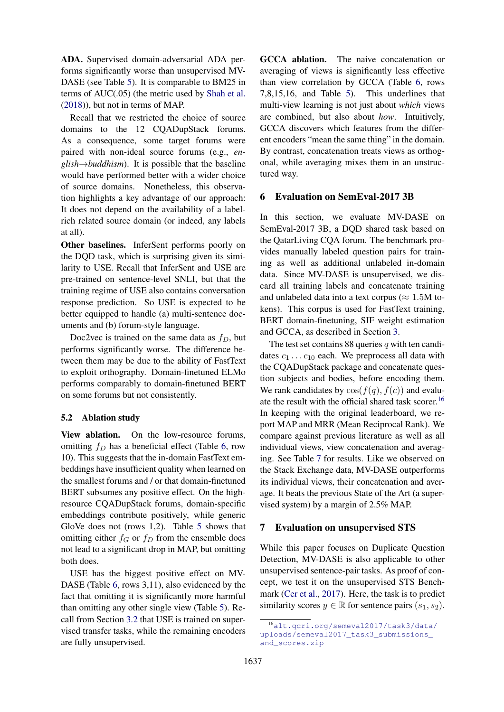ADA. Supervised domain-adversarial ADA performs significantly worse than unsupervised MV-DASE (see Table [5\)](#page-6-4). It is comparable to BM25 in terms of AUC(.05) (the metric used by [Shah et al.](#page-11-0) [\(2018\)](#page-11-0)), but not in terms of MAP.

Recall that we restricted the choice of source domains to the 12 CQADupStack forums. As a consequence, some target forums were paired with non-ideal source forums (e.g., *english*→*buddhism*). It is possible that the baseline would have performed better with a wider choice of source domains. Nonetheless, this observation highlights a key advantage of our approach: It does not depend on the availability of a labelrich related source domain (or indeed, any labels at all).

Other baselines. InferSent performs poorly on the DQD task, which is surprising given its similarity to USE. Recall that InferSent and USE are pre-trained on sentence-level SNLI, but that the training regime of USE also contains conversation response prediction. So USE is expected to be better equipped to handle (a) multi-sentence documents and (b) forum-style language.

Doc2vec is trained on the same data as  $f_D$ , but performs significantly worse. The difference between them may be due to the ability of FastText to exploit orthography. Domain-finetuned ELMo performs comparably to domain-finetuned BERT on some forums but not consistently.

## 5.2 Ablation study

View ablation. On the low-resource forums, omitting  $f_D$  has a beneficial effect (Table [6,](#page-6-1) row 10). This suggests that the in-domain FastText embeddings have insufficient quality when learned on the smallest forums and / or that domain-finetuned BERT subsumes any positive effect. On the highresource CQADupStack forums, domain-specific embeddings contribute positively, while generic GloVe does not (rows 1,2). Table [5](#page-6-4) shows that omitting either  $f_G$  or  $f_D$  from the ensemble does not lead to a significant drop in MAP, but omitting both does.

USE has the biggest positive effect on MV-DASE (Table [6,](#page-6-1) rows 3,11), also evidenced by the fact that omitting it is significantly more harmful than omitting any other single view (Table [5\)](#page-6-4). Recall from Section [3.2](#page-3-1) that USE is trained on supervised transfer tasks, while the remaining encoders are fully unsupervised.

GCCA ablation. The naive concatenation or averaging of views is significantly less effective than view correlation by GCCA (Table [6,](#page-6-1) rows 7,8,15,16, and Table [5\)](#page-6-4). This underlines that multi-view learning is not just about *which* views are combined, but also about *how*. Intuitively, GCCA discovers which features from the different encoders "mean the same thing" in the domain. By contrast, concatenation treats views as orthogonal, while averaging mixes them in an unstructured way.

## <span id="page-7-0"></span>6 Evaluation on SemEval-2017 3B

In this section, we evaluate MV-DASE on SemEval-2017 3B, a DQD shared task based on the QatarLiving CQA forum. The benchmark provides manually labeled question pairs for training as well as additional unlabeled in-domain data. Since MV-DASE is unsupervised, we discard all training labels and concatenate training and unlabeled data into a text corpus ( $\approx 1.5M$  tokens). This corpus is used for FastText training, BERT domain-finetuning, SIF weight estimation and GCCA, as described in Section [3.](#page-2-4)

The test set contains 88 queries  $q$  with ten candidates  $c_1 \ldots c_{10}$  each. We preprocess all data with the CQADupStack package and concatenate question subjects and bodies, before encoding them. We rank candidates by  $cos(f(q), f(c))$  and evalu-ate the result with the official shared task scorer.<sup>[16](#page-7-2)</sup> In keeping with the original leaderboard, we report MAP and MRR (Mean Reciprocal Rank). We compare against previous literature as well as all individual views, view concatenation and averaging. See Table [7](#page-8-0) for results. Like we observed on the Stack Exchange data, MV-DASE outperforms its individual views, their concatenation and average. It beats the previous State of the Art (a supervised system) by a margin of 2.5% MAP.

## <span id="page-7-1"></span>7 Evaluation on unsupervised STS

While this paper focuses on Duplicate Question Detection, MV-DASE is also applicable to other unsupervised sentence-pair tasks. As proof of concept, we test it on the unsupervised STS Benchmark [\(Cer et al.,](#page-9-4) [2017\)](#page-9-4). Here, the task is to predict similarity scores  $y \in \mathbb{R}$  for sentence pairs  $(s_1, s_2)$ .

<span id="page-7-2"></span><sup>16</sup>[alt.qcri.org/semeval2017/task3/data/](alt.qcri.org/semeval2017/task3/data/uploads/semeval2017_task3_submissions_and_scores.zip) [uploads/semeval2017\\_task3\\_submissions\\_](alt.qcri.org/semeval2017/task3/data/uploads/semeval2017_task3_submissions_and_scores.zip) [and\\_scores.zip](alt.qcri.org/semeval2017/task3/data/uploads/semeval2017_task3_submissions_and_scores.zip)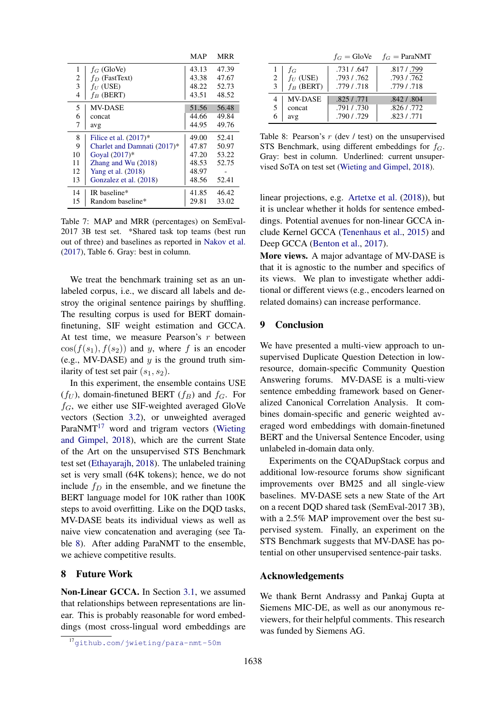<span id="page-8-0"></span>

|                         |                             | MAP   | <b>MRR</b> |
|-------------------------|-----------------------------|-------|------------|
| 1                       | $f_G$ (GloVe)               | 43.13 | 47.39      |
| 2                       | $f_D$ (FastText)            | 43.38 | 47.67      |
| $\overline{\mathbf{3}}$ | $f_U$ (USE)                 | 48.22 | 52.73      |
| 4                       | $f_B$ (BERT)                | 43.51 | 48.52      |
| 5                       | <b>MV-DASE</b>              | 51.56 | 56.48      |
| 6                       | concat                      | 44.66 | 49.84      |
| 7                       | avg                         | 44.95 | 49.76      |
| 8                       | Filice et al. $(2017)^*$    | 49.00 | 52.41      |
| 9                       | Charlet and Damnati (2017)* | 47.87 | 50.97      |
| 10                      | Goyal (2017)*               | 47.20 | 53.22      |
| 11                      | Zhang and Wu $(2018)$       | 48.53 | 52.75      |
| 12                      | Yang et al. (2018)          | 48.97 |            |
| 13                      | Gonzalez et al. (2018)      | 48.56 | 52.41      |
| 14                      | IR baseline*                | 41.85 | 46.42      |
| 15                      | Random baseline*            | 29.81 | 33.02      |

Table 7: MAP and MRR (percentages) on SemEval-2017 3B test set. \*Shared task top teams (best run out of three) and baselines as reported in [Nakov et al.](#page-10-5) [\(2017\)](#page-10-5), Table 6. Gray: best in column.

We treat the benchmark training set as an unlabeled corpus, i.e., we discard all labels and destroy the original sentence pairings by shuffling. The resulting corpus is used for BERT domainfinetuning, SIF weight estimation and GCCA. At test time, we measure Pearson's  $r$  between  $\cos(f(s_1), f(s_2))$  and y, where f is an encoder (e.g., MV-DASE) and  $y$  is the ground truth similarity of test set pair  $(s_1, s_2)$ .

In this experiment, the ensemble contains USE  $(f_U)$ , domain-finetuned BERT  $(f_B)$  and  $f_G$ . For  $f_G$ , we either use SIF-weighted averaged GloVe vectors (Section [3.2\)](#page-3-1), or unweighted averaged ParaNMT $^{17}$  $^{17}$  $^{17}$  word and trigram vectors [\(Wieting](#page-11-8) [and Gimpel,](#page-11-8) [2018\)](#page-11-8), which are the current State of the Art on the unsupervised STS Benchmark test set [\(Ethayarajh,](#page-9-20) [2018\)](#page-9-20). The unlabeled training set is very small (64K tokens); hence, we do not include  $f_D$  in the ensemble, and we finetune the BERT language model for 10K rather than 100K steps to avoid overfitting. Like on the DQD tasks, MV-DASE beats its individual views as well as naive view concatenation and averaging (see Table [8\)](#page-8-2). After adding ParaNMT to the ensemble, we achieve competitive results.

## 8 Future Work

Non-Linear GCCA. In Section [3.1,](#page-2-1) we assumed that relationships between representations are linear. This is probably reasonable for word embeddings (most cross-lingual word embeddings are

<span id="page-8-2"></span>

|        |                                      | $f_G = \text{GloVe}$                      | $f_G =$ ParaNMT                           |
|--------|--------------------------------------|-------------------------------------------|-------------------------------------------|
| 2<br>3 | $f_G$<br>$f_U$ (USE)<br>$f_B$ (BERT) | .731 / .647<br>.793 / .762<br>.779 / .718 | .817 / .799<br>.793/0.762<br>.779 / .718  |
| 5      | <b>MV-DASE</b><br>concat<br>avg      | .825/.771<br>.791 / .730<br>.790 / .729   | .842 / .804<br>.826 / .772<br>.823 / .771 |

Table 8: Pearson's  $r$  (dev / test) on the unsupervised STS Benchmark, using different embeddings for  $f_G$ . Gray: best in column. Underlined: current unsupervised SoTA on test set [\(Wieting and Gimpel,](#page-11-8) [2018\)](#page-11-8).

linear projections, e.g. [Artetxe et al.](#page-9-21) [\(2018\)](#page-9-21)), but it is unclear whether it holds for sentence embeddings. Potential avenues for non-linear GCCA include Kernel GCCA [\(Tenenhaus et al.,](#page-11-9) [2015\)](#page-11-9) and Deep GCCA [\(Benton et al.,](#page-9-22) [2017\)](#page-9-22).

More views. A major advantage of MV-DASE is that it is agnostic to the number and specifics of its views. We plan to investigate whether additional or different views (e.g., encoders learned on related domains) can increase performance.

#### 9 Conclusion

We have presented a multi-view approach to unsupervised Duplicate Question Detection in lowresource, domain-specific Community Question Answering forums. MV-DASE is a multi-view sentence embedding framework based on Generalized Canonical Correlation Analysis. It combines domain-specific and generic weighted averaged word embeddings with domain-finetuned BERT and the Universal Sentence Encoder, using unlabeled in-domain data only.

Experiments on the CQADupStack corpus and additional low-resource forums show significant improvements over BM25 and all single-view baselines. MV-DASE sets a new State of the Art on a recent DQD shared task (SemEval-2017 3B), with a 2.5% MAP improvement over the best supervised system. Finally, an experiment on the STS Benchmark suggests that MV-DASE has potential on other unsupervised sentence-pair tasks.

#### Acknowledgements

We thank Bernt Andrassy and Pankaj Gupta at Siemens MIC-DE, as well as our anonymous reviewers, for their helpful comments. This research was funded by Siemens AG.

<span id="page-8-1"></span><sup>17</sup><github.com/jwieting/para-nmt-50m>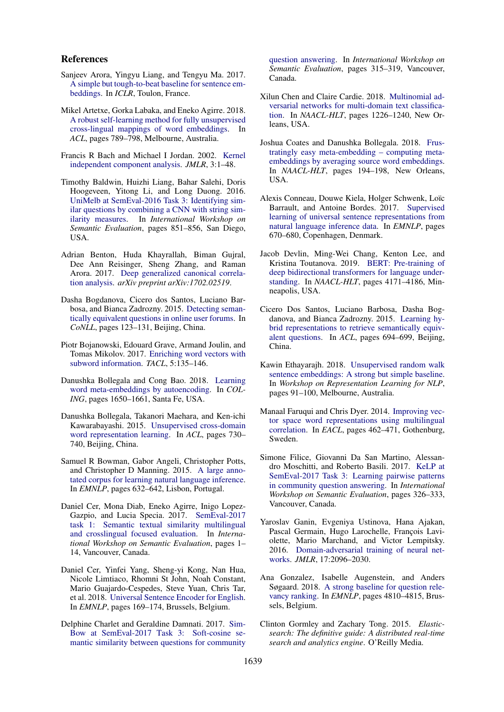## References

- <span id="page-9-8"></span>Sanjeev Arora, Yingyu Liang, and Tengyu Ma. 2017. [A simple but tough-to-beat baseline for sentence em](https://pdfs.semanticscholar.org/3fc9/7768dc0b36449ec377d6a4cad8827908d5b4.pdf)[beddings.](https://pdfs.semanticscholar.org/3fc9/7768dc0b36449ec377d6a4cad8827908d5b4.pdf) In *ICLR*, Toulon, France.
- <span id="page-9-21"></span>Mikel Artetxe, Gorka Labaka, and Eneko Agirre. 2018. [A robust self-learning method for fully unsupervised](https://www.aclweb.org/anthology/P18-1073) [cross-lingual mappings of word embeddings.](https://www.aclweb.org/anthology/P18-1073) In *ACL*, pages 789–798, Melbourne, Australia.
- <span id="page-9-14"></span>Francis R Bach and Michael I Jordan. 2002. [Kernel](http://www.jmlr.org/papers/v3/bach02a) [independent component analysis.](http://www.jmlr.org/papers/v3/bach02a) *JMLR*, 3:1–48.
- <span id="page-9-7"></span>Timothy Baldwin, Huizhi Liang, Bahar Salehi, Doris Hoogeveen, Yitong Li, and Long Duong. 2016. [UniMelb at SemEval-2016 Task 3: Identifying sim](https://doi.org/10.18653/v1/S16-1027)[ilar questions by combining a CNN with string sim](https://doi.org/10.18653/v1/S16-1027)[ilarity measures.](https://doi.org/10.18653/v1/S16-1027) In *International Workshop on Semantic Evaluation*, pages 851–856, San Diego, USA.
- <span id="page-9-22"></span>Adrian Benton, Huda Khayrallah, Biman Gujral, Dee Ann Reisinger, Sheng Zhang, and Raman Arora. 2017. [Deep generalized canonical correla](https://arxiv.org/pdf/1702.02519)[tion analysis.](https://arxiv.org/pdf/1702.02519) *arXiv preprint arXiv:1702.02519*.
- <span id="page-9-5"></span>Dasha Bogdanova, Cicero dos Santos, Luciano Barbosa, and Bianca Zadrozny. 2015. [Detecting seman](https://doi.org/10.18653/v1/K15-1013)[tically equivalent questions in online user forums.](https://doi.org/10.18653/v1/K15-1013) In *CoNLL*, pages 123–131, Beijing, China.
- <span id="page-9-1"></span>Piotr Bojanowski, Edouard Grave, Armand Joulin, and Tomas Mikolov. 2017. [Enriching word vectors with](https://doi.org/https://doi.org/10.1162/tacl_a_00051) [subword information.](https://doi.org/https://doi.org/10.1162/tacl_a_00051) *TACL*, 5:135–146.
- <span id="page-9-11"></span>Danushka Bollegala and Cong Bao. 2018. [Learning](https://www.aclweb.org/anthology/C18-1140) [word meta-embeddings by autoencoding.](https://www.aclweb.org/anthology/C18-1140) In *COL-ING*, pages 1650–1661, Santa Fe, USA.
- <span id="page-9-12"></span>Danushka Bollegala, Takanori Maehara, and Ken-ichi Kawarabayashi. 2015. [Unsupervised cross-domain](https://doi.org/https://doi.org/10.3115/v1/p15-1071) [word representation learning.](https://doi.org/https://doi.org/10.3115/v1/p15-1071) In *ACL*, pages 730– 740, Beijing, China.
- <span id="page-9-13"></span>Samuel R Bowman, Gabor Angeli, Christopher Potts, and Christopher D Manning. 2015. [A large anno](https://doi.org/10.18653/v1/d15-1075)[tated corpus for learning natural language inference.](https://doi.org/10.18653/v1/d15-1075) In *EMNLP*, pages 632–642, Lisbon, Portugal.
- <span id="page-9-4"></span>Daniel Cer, Mona Diab, Eneko Agirre, Inigo Lopez-Gazpio, and Lucia Specia. 2017. [SemEval-2017](https://doi.org/10.18653/v1/s17-2001) [task 1: Semantic textual similarity multilingual](https://doi.org/10.18653/v1/s17-2001) [and crosslingual focused evaluation.](https://doi.org/10.18653/v1/s17-2001) In *International Workshop on Semantic Evaluation*, pages 1– 14, Vancouver, Canada.
- <span id="page-9-3"></span>Daniel Cer, Yinfei Yang, Sheng-yi Kong, Nan Hua, Nicole Limtiaco, Rhomni St John, Noah Constant, Mario Guajardo-Cespedes, Steve Yuan, Chris Tar, et al. 2018. [Universal Sentence Encoder for English.](https://www.aclweb.org/anthology/D18-2029) In *EMNLP*, pages 169–174, Brussels, Belgium.
- <span id="page-9-0"></span>Delphine Charlet and Geraldine Damnati. 2017. [Sim-](https://doi.org/10.18653/v1/S17-2051)[Bow at SemEval-2017 Task 3: Soft-cosine se](https://doi.org/10.18653/v1/S17-2051)[mantic similarity between questions for community](https://doi.org/10.18653/v1/S17-2051)

[question answering.](https://doi.org/10.18653/v1/S17-2051) In *International Workshop on Semantic Evaluation*, pages 315–319, Vancouver, Canada.

- <span id="page-9-17"></span>Xilun Chen and Claire Cardie. 2018. [Multinomial ad](https://doi.org/10.18653/v1/N18-1111)[versarial networks for multi-domain text classifica](https://doi.org/10.18653/v1/N18-1111)[tion.](https://doi.org/10.18653/v1/N18-1111) In *NAACL-HLT*, pages 1226–1240, New Orleans, USA.
- <span id="page-9-16"></span>Joshua Coates and Danushka Bollegala. 2018. [Frus](https://doi.org/10.18653/v1/n18-2031)[tratingly easy meta-embedding – computing meta](https://doi.org/10.18653/v1/n18-2031)[embeddings by averaging source word embeddings.](https://doi.org/10.18653/v1/n18-2031) In *NAACL-HLT*, pages 194–198, New Orleans, USA.
- <span id="page-9-9"></span>Alexis Conneau, Douwe Kiela, Holger Schwenk, Loïc Barrault, and Antoine Bordes. 2017. [Supervised](https://doi.org/10.18653/v1/d17-1070) [learning of universal sentence representations from](https://doi.org/10.18653/v1/d17-1070) [natural language inference data.](https://doi.org/10.18653/v1/d17-1070) In *EMNLP*, pages 670–680, Copenhagen, Denmark.
- <span id="page-9-2"></span>Jacob Devlin, Ming-Wei Chang, Kenton Lee, and Kristina Toutanova. 2019. [BERT: Pre-training of](https://doi.org/10.18653/v1/N19-1423) [deep bidirectional transformers for language under](https://doi.org/10.18653/v1/N19-1423)[standing.](https://doi.org/10.18653/v1/N19-1423) In *NAACL-HLT*, pages 4171–4186, Minneapolis, USA.
- <span id="page-9-6"></span>Cicero Dos Santos, Luciano Barbosa, Dasha Bogdanova, and Bianca Zadrozny. 2015. [Learning hy](https://doi.org/https://doi.org/10.3115/v1/p15-2114)[brid representations to retrieve semantically equiv](https://doi.org/https://doi.org/10.3115/v1/p15-2114)[alent questions.](https://doi.org/https://doi.org/10.3115/v1/p15-2114) In *ACL*, pages 694–699, Beijing, China.
- <span id="page-9-20"></span>Kawin Ethayarajh. 2018. [Unsupervised random walk](https://www.aclweb.org/anthology/W18-3012) [sentence embeddings: A strong but simple baseline.](https://www.aclweb.org/anthology/W18-3012) In *Workshop on Representation Learning for NLP*, pages 91–100, Melbourne, Australia.
- <span id="page-9-10"></span>Manaal Faruqui and Chris Dyer. 2014. [Improving vec](https://doi.org/https://doi.org/10.3115/v1/e14-1049)[tor space word representations using multilingual](https://doi.org/https://doi.org/10.3115/v1/e14-1049) [correlation.](https://doi.org/https://doi.org/10.3115/v1/e14-1049) In *EACL*, pages 462–471, Gothenburg, Sweden.
- <span id="page-9-18"></span>Simone Filice, Giovanni Da San Martino, Alessandro Moschitti, and Roberto Basili. 2017. [KeLP at](https://doi.org/10.18653/v1/n16-1129) [SemEval-2017 Task 3: Learning pairwise patterns](https://doi.org/10.18653/v1/n16-1129) [in community question answering.](https://doi.org/10.18653/v1/n16-1129) In *International Workshop on Semantic Evaluation*, pages 326–333, Vancouver, Canada.
- Yaroslav Ganin, Evgeniya Ustinova, Hana Ajakan, Pascal Germain, Hugo Larochelle, François Laviolette, Mario Marchand, and Victor Lempitsky. 2016. [Domain-adversarial training of neural net](http://jmlr.org/papers/v17/15-239)[works.](http://jmlr.org/papers/v17/15-239) *JMLR*, 17:2096–2030.
- <span id="page-9-19"></span>Ana Gonzalez, Isabelle Augenstein, and Anders Søgaard. 2018. [A strong baseline for question rele](https://doi.org/10.18653/v1/d18-1515)[vancy ranking.](https://doi.org/10.18653/v1/d18-1515) In *EMNLP*, pages 4810–4815, Brussels, Belgium.
- <span id="page-9-15"></span>Clinton Gormley and Zachary Tong. 2015. *Elasticsearch: The definitive guide: A distributed real-time search and analytics engine*. O'Reilly Media.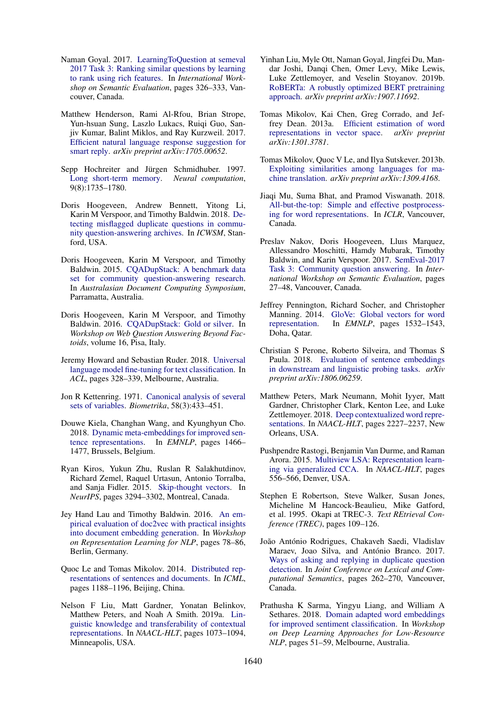- <span id="page-10-23"></span>Naman Goyal. 2017. [LearningToQuestion at semeval](https://doi.org/10.18653/v1/s17-2050) [2017 Task 3: Ranking similar questions by learning](https://doi.org/10.18653/v1/s17-2050) [to rank using rich features.](https://doi.org/10.18653/v1/s17-2050) In *International Workshop on Semantic Evaluation*, pages 326–333, Vancouver, Canada.
- <span id="page-10-19"></span>Matthew Henderson, Rami Al-Rfou, Brian Strope, Yun-hsuan Sung, Laszlo Lukacs, Ruiqi Guo, Sanjiv Kumar, Balint Miklos, and Ray Kurzweil. 2017. [Efficient natural language response suggestion for](https://arxiv.org/abs/1705.00652) [smart reply.](https://arxiv.org/abs/1705.00652) *arXiv preprint arXiv:1705.00652*.
- <span id="page-10-8"></span>Sepp Hochreiter and Jürgen Schmidhuber. 1997. [Long short-term memory.](https://doi.org/https://doi.org/10.1162/neco.1997.9.8.1735) *Neural computation*, 9(8):1735–1780.
- <span id="page-10-7"></span>Doris Hoogeveen, Andrew Bennett, Yitong Li, Karin M Verspoor, and Timothy Baldwin. 2018. [De](https://www.aaai.org/ocs/index.php/ICWSM/ICWSM18/paper/view/17841/17002)[tecting misflagged duplicate questions in commu](https://www.aaai.org/ocs/index.php/ICWSM/ICWSM18/paper/view/17841/17002)[nity question-answering archives.](https://www.aaai.org/ocs/index.php/ICWSM/ICWSM18/paper/view/17841/17002) In *ICWSM*, Stanford, USA.
- <span id="page-10-0"></span>Doris Hoogeveen, Karin M Verspoor, and Timothy Baldwin. 2015. [CQADupStack: A benchmark data](https://doi.org/https://doi.org/10.1145/2838931.2838934) [set for community question-answering research.](https://doi.org/https://doi.org/10.1145/2838931.2838934) In *Australasian Document Computing Symposium*, Parramatta, Australia.
- <span id="page-10-21"></span>Doris Hoogeveen, Karin M Verspoor, and Timothy Baldwin. 2016. [CQADupStack: Gold or silver.](https://pdfs.semanticscholar.org/898c/de2f035a4728e629dd5592c13806140853b8.pdf) In *Workshop on Web Question Answering Beyond Factoids*, volume 16, Pisa, Italy.
- <span id="page-10-20"></span>Jeremy Howard and Sebastian Ruder. 2018. [Universal](https://www.aclweb.org/anthology/P18-1031) [language model fine-tuning for text classification.](https://www.aclweb.org/anthology/P18-1031) In *ACL*, pages 328–339, Melbourne, Australia.
- <span id="page-10-14"></span>Jon R Kettenring. 1971. [Canonical analysis of several](https://doi.org/https://doi.org/10.2307/2334380) [sets of variables.](https://doi.org/https://doi.org/10.2307/2334380) *Biometrika*, 58(3):433–451.
- <span id="page-10-13"></span>Douwe Kiela, Changhan Wang, and Kyunghyun Cho. 2018. [Dynamic meta-embeddings for improved sen](https://doi.org/10.18653/v1/d18-1176)[tence representations.](https://doi.org/10.18653/v1/d18-1176) In *EMNLP*, pages 1466– 1477, Brussels, Belgium.
- <span id="page-10-18"></span>Ryan Kiros, Yukun Zhu, Ruslan R Salakhutdinov, Richard Zemel, Raquel Urtasun, Antonio Torralba, and Sanja Fidler. 2015. [Skip-thought vectors.](http://papers.nips.cc/paper/5950-skip-thought-vectors) In *NeurIPS*, pages 3294–3302, Montreal, Canada.
- <span id="page-10-1"></span>Jey Hand Lau and Timothy Baldwin. 2016. [An em](https://doi.org/10.18653/v1/w16-1609)[pirical evaluation of doc2vec with practical insights](https://doi.org/10.18653/v1/w16-1609) [into document embedding generation.](https://doi.org/10.18653/v1/w16-1609) In *Workshop on Representation Learning for NLP*, pages 78–86, Berlin, Germany.
- <span id="page-10-9"></span>Quoc Le and Tomas Mikolov. 2014. [Distributed rep](http://www.jmlr.org/proceedings/papers/v32/le14)[resentations of sentences and documents.](http://www.jmlr.org/proceedings/papers/v32/le14) In *ICML*, pages 1188–1196, Beijing, China.
- <span id="page-10-16"></span>Nelson F Liu, Matt Gardner, Yonatan Belinkov, Matthew Peters, and Noah A Smith. 2019a. [Lin](https://doi.org/10.18653/v1/N19-1112)[guistic knowledge and transferability of contextual](https://doi.org/10.18653/v1/N19-1112) [representations.](https://doi.org/10.18653/v1/N19-1112) In *NAACL-HLT*, pages 1073–1094, Minneapolis, USA.
- Yinhan Liu, Myle Ott, Naman Goyal, Jingfei Du, Mandar Joshi, Danqi Chen, Omer Levy, Mike Lewis, Luke Zettlemoyer, and Veselin Stoyanov. 2019b. [RoBERTa: A robustly optimized BERT pretraining](https://arxiv.org/abs/1907.11692) [approach.](https://arxiv.org/abs/1907.11692) *arXiv preprint arXiv:1907.11692*.
- <span id="page-10-10"></span>Tomas Mikolov, Kai Chen, Greg Corrado, and Jeffrey Dean. 2013a. [Efficient estimation of word](https://arxiv.org/abs/1301.3781) [representations in vector space.](https://arxiv.org/abs/1301.3781) *arXiv preprint arXiv:1301.3781*.
- <span id="page-10-11"></span>Tomas Mikolov, Quoc V Le, and Ilya Sutskever. 2013b. [Exploiting similarities among languages for ma](https://arxiv.org/pdf/1309.4168)[chine translation.](https://arxiv.org/pdf/1309.4168) *arXiv preprint arXiv:1309.4168*.
- <span id="page-10-17"></span>Jiaqi Mu, Suma Bhat, and Pramod Viswanath. 2018. [All-but-the-top: Simple and effective postprocess](https://arxiv.org/abs/1702.01417)[ing for word representations.](https://arxiv.org/abs/1702.01417) In *ICLR*, Vancouver, Canada.
- <span id="page-10-5"></span>Preslav Nakov, Doris Hoogeveen, Lluıs Marquez, Allessandro Moschitti, Hamdy Mubarak, Timothy Baldwin, and Karin Verspoor. 2017. [SemEval-2017](https://doi.org/10.18653/v1/s16-1083) [Task 3: Community question answering.](https://doi.org/10.18653/v1/s16-1083) In *International Workshop on Semantic Evaluation*, pages 27–48, Vancouver, Canada.
- <span id="page-10-2"></span>Jeffrey Pennington, Richard Socher, and Christopher Manning. 2014. [GloVe: Global vectors for word](https://doi.org/10.3115/v1/D14-1162) [representation.](https://doi.org/10.3115/v1/D14-1162) In *EMNLP*, pages 1532–1543, Doha, Qatar.
- <span id="page-10-15"></span>Christian S Perone, Roberto Silveira, and Thomas S Paula. 2018. [Evaluation of sentence embeddings](https://arxiv.org/abs/1806.06259) [in downstream and linguistic probing tasks.](https://arxiv.org/abs/1806.06259) *arXiv preprint arXiv:1806.06259*.
- <span id="page-10-4"></span>Matthew Peters, Mark Neumann, Mohit Iyyer, Matt Gardner, Christopher Clark, Kenton Lee, and Luke Zettlemoyer. 2018. [Deep contextualized word repre](https://doi.org/10.18653/v1/N18-1202)[sentations.](https://doi.org/10.18653/v1/N18-1202) In *NAACL-HLT*, pages 2227–2237, New Orleans, USA.
- <span id="page-10-12"></span>Pushpendre Rastogi, Benjamin Van Durme, and Raman Arora. 2015. [Multiview LSA: Representation learn](https://doi.org/https://doi.org/10.3115/v1/n15-1058)[ing via generalized CCA.](https://doi.org/https://doi.org/10.3115/v1/n15-1058) In *NAACL-HLT*, pages 556–566, Denver, USA.
- <span id="page-10-22"></span>Stephen E Robertson, Steve Walker, Susan Jones, Micheline M Hancock-Beaulieu, Mike Gatford, et al. 1995. Okapi at TREC-3. *Text REtrieval Conference (TREC)*, pages 109–126.
- <span id="page-10-6"></span>João António Rodrigues, Chakaveh Saedi, Vladislav Maraev, Joao Silva, and António Branco. 2017. [Ways of asking and replying in duplicate question](https://doi.org/10.18653/v1/s17-1030) [detection.](https://doi.org/10.18653/v1/s17-1030) In *Joint Conference on Lexical and Computational Semantics*, pages 262–270, Vancouver, Canada.
- <span id="page-10-3"></span>Prathusha K Sarma, Yingyu Liang, and William A Sethares. 2018. [Domain adapted word embeddings](https://www.aclweb.org/anthology/P18-2007) [for improved sentiment classification.](https://www.aclweb.org/anthology/P18-2007) In *Workshop on Deep Learning Approaches for Low-Resource NLP*, pages 51–59, Melbourne, Australia.